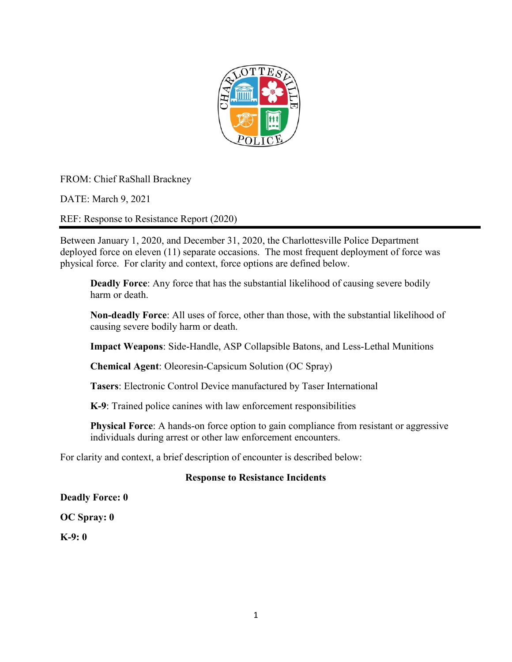

FROM: Chief RaShall Brackney

DATE: March 9, 2021

REF: Response to Resistance Report (2020)

Between January 1, 2020, and December 31, 2020, the Charlottesville Police Department deployed force on eleven (11) separate occasions. The most frequent deployment of force was physical force. For clarity and context, force options are defined below.

**Deadly Force**: Any force that has the substantial likelihood of causing severe bodily harm or death.

**Non-deadly Force**: All uses of force, other than those, with the substantial likelihood of causing severe bodily harm or death.

**Impact Weapons**: Side-Handle, ASP Collapsible Batons, and Less-Lethal Munitions

**Chemical Agent**: Oleoresin-Capsicum Solution (OC Spray)

**Tasers**: Electronic Control Device manufactured by Taser International

**K-9**: Trained police canines with law enforcement responsibilities

**Physical Force**: A hands-on force option to gain compliance from resistant or aggressive individuals during arrest or other law enforcement encounters.

For clarity and context, a brief description of encounter is described below:

## **Response to Resistance Incidents**

**Deadly Force: 0**

**OC Spray: 0**

**K-9: 0**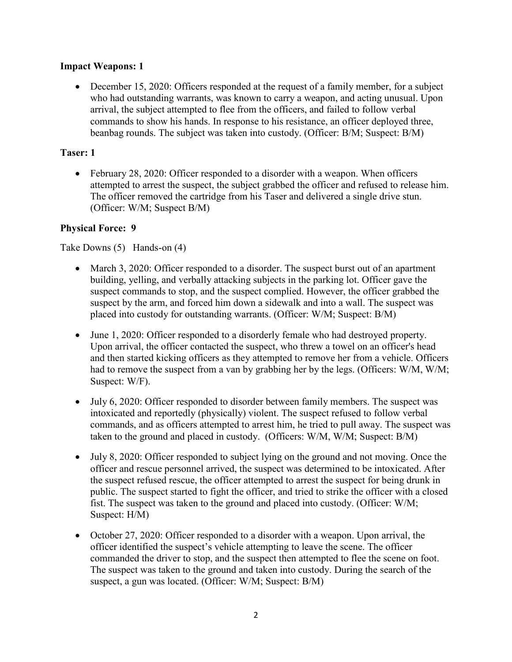## **Impact Weapons: 1**

• December 15, 2020: Officers responded at the request of a family member, for a subject who had outstanding warrants, was known to carry a weapon, and acting unusual. Upon arrival, the subject attempted to flee from the officers, and failed to follow verbal commands to show his hands. In response to his resistance, an officer deployed three, beanbag rounds. The subject was taken into custody. (Officer: B/M; Suspect: B/M)

## **Taser: 1**

• February 28, 2020: Officer responded to a disorder with a weapon. When officers attempted to arrest the suspect, the subject grabbed the officer and refused to release him. The officer removed the cartridge from his Taser and delivered a single drive stun. (Officer: W/M; Suspect B/M)

## **Physical Force: 9**

Take Downs (5) Hands-on (4)

- March 3, 2020: Officer responded to a disorder. The suspect burst out of an apartment building, yelling, and verbally attacking subjects in the parking lot. Officer gave the suspect commands to stop, and the suspect complied. However, the officer grabbed the suspect by the arm, and forced him down a sidewalk and into a wall. The suspect was placed into custody for outstanding warrants. (Officer: W/M; Suspect: B/M)
- June 1, 2020: Officer responded to a disorderly female who had destroyed property. Upon arrival, the officer contacted the suspect, who threw a towel on an officer's head and then started kicking officers as they attempted to remove her from a vehicle. Officers had to remove the suspect from a van by grabbing her by the legs. (Officers: W/M, W/M; Suspect: W/F).
- July 6, 2020: Officer responded to disorder between family members. The suspect was intoxicated and reportedly (physically) violent. The suspect refused to follow verbal commands, and as officers attempted to arrest him, he tried to pull away. The suspect was taken to the ground and placed in custody. (Officers: W/M, W/M; Suspect: B/M)
- July 8, 2020: Officer responded to subject lying on the ground and not moving. Once the officer and rescue personnel arrived, the suspect was determined to be intoxicated. After the suspect refused rescue, the officer attempted to arrest the suspect for being drunk in public. The suspect started to fight the officer, and tried to strike the officer with a closed fist. The suspect was taken to the ground and placed into custody. (Officer: W/M; Suspect: H/M)
- October 27, 2020: Officer responded to a disorder with a weapon. Upon arrival, the officer identified the suspect's vehicle attempting to leave the scene. The officer commanded the driver to stop, and the suspect then attempted to flee the scene on foot. The suspect was taken to the ground and taken into custody. During the search of the suspect, a gun was located. (Officer: W/M; Suspect: B/M)